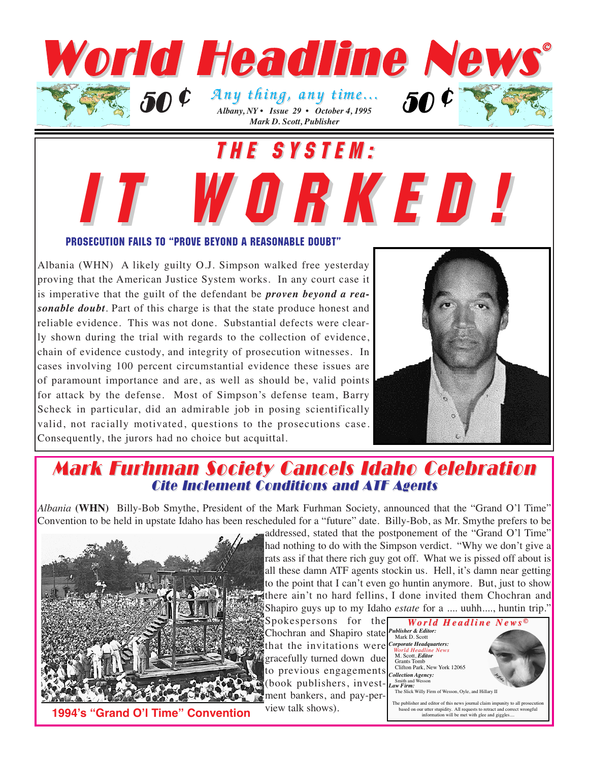

THE SYSTEM:

## URKED! PROSECUTION FAILS TO "PROVE BEYOND A REASONABLE DOUBT"

Albania (WHN) A likely guilty O.J. Simpson walked free yesterday proving that the American Justice System works. In any court case it is imperative that the guilt of the defendant be *proven beyond a reasonable doubt*. Part of this charge is that the state produce honest and reliable evidence. This was not done. Substantial defects were clearly shown during the trial with regards to the collection of evidence, chain of evidence custody, and integrity of prosecution witnesses. In cases involving 100 percent circumstantial evidence these issues are of paramount importance and are, as well as should be, valid points for attack by the defense. Most of Simpson's defense team, Barry Scheck in particular, did an admirable job in posing scientifically valid, not racially motivated, questions to the prosecutions case. Consequently, the jurors had no choice but acquittal.



## **Mark Furhman Society Cancels Idaho Celebration Cite Inclement Conditions and ATF Agents**

*Albania* **(WHN)** Billy-Bob Smythe, President of the Mark Furhman Society, announced that the "Grand O'l Time" Convention to be held in upstate Idaho has been rescheduled for a "future" date. Billy-Bob, as Mr. Smythe prefers to be



addressed, stated that the postponement of the "Grand O'l Time" had nothing to do with the Simpson verdict. "Why we don't give a rats ass if that there rich guy got off. What we is pissed off about is all these damn ATF agents stockin us. Hell, it's damn near getting to the point that I can't even go huntin anymore. But, just to show there ain't no hard fellins, I done invited them Chochran and Shapiro guys up to my Idaho *estate* for a .... uuhh...., huntin trip."

Spokespersons for the Chochran and Shapiro state *Publisher & Editor:* that the invitations were gracefully turned down due to previous engagements (book publishers, investment bankers, and pay-perview talk shows).



The publisher and editor of this news journal claim impunity to all pro based on our utter stupidity. All requests to retract and correct wrongful information will be met with glee and giggles....